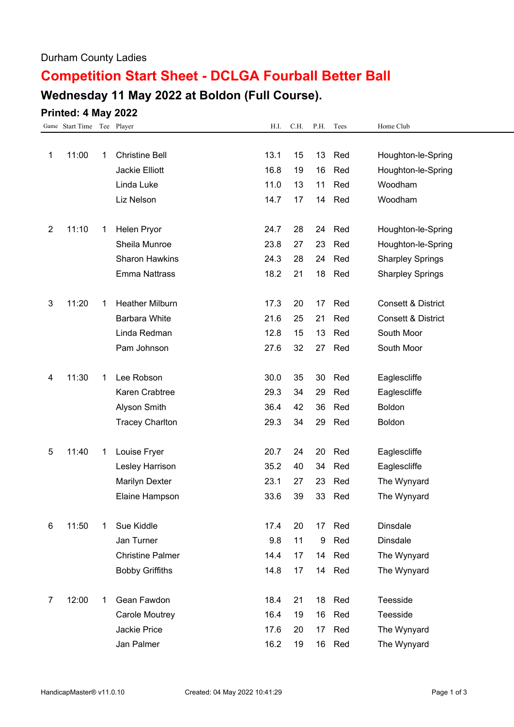### Durham County Ladies

# **Competition Start Sheet - DCLGA Fourball Better Ball**

# **Wednesday 11 May 2022 at Boldon (Full Course).**

## **Printed: 4 May 2022**

|                | Game Start Time Tee Player |    |                         | H.I. | C.H. | P.H. | Tees   | Home Club                     |
|----------------|----------------------------|----|-------------------------|------|------|------|--------|-------------------------------|
|                |                            |    |                         |      |      |      |        |                               |
| 1              | 11:00                      | 1. | <b>Christine Bell</b>   | 13.1 | 15   | 13   | Red    | Houghton-le-Spring            |
|                |                            |    | Jackie Elliott          | 16.8 | 19   | 16   | Red    | Houghton-le-Spring            |
|                |                            |    | Linda Luke              | 11.0 | 13   | 11   | Red    | Woodham                       |
|                |                            |    | Liz Nelson              | 14.7 | 17   | 14   | Red    | Woodham                       |
|                |                            |    |                         |      |      |      |        |                               |
| $\overline{2}$ | 11:10                      | 1  | Helen Pryor             | 24.7 | 28   | 24   | Red    | Houghton-le-Spring            |
|                |                            |    | Sheila Munroe           | 23.8 | 27   | 23   | Red    | Houghton-le-Spring            |
|                |                            |    | <b>Sharon Hawkins</b>   | 24.3 | 28   | 24   | Red    | <b>Sharpley Springs</b>       |
|                |                            |    | <b>Emma Nattrass</b>    | 18.2 | 21   | 18   | Red    | <b>Sharpley Springs</b>       |
|                |                            |    |                         |      |      |      |        |                               |
| 3              | 11:20                      | 1  | <b>Heather Milburn</b>  | 17.3 | 20   | 17   | Red    | <b>Consett &amp; District</b> |
|                |                            |    | Barbara White           | 21.6 | 25   | 21   | Red    | <b>Consett &amp; District</b> |
|                |                            |    | Linda Redman            | 12.8 | 15   | 13   | Red    | South Moor                    |
|                |                            |    | Pam Johnson             | 27.6 | 32   | 27   | Red    | South Moor                    |
|                |                            |    |                         |      |      |      |        |                               |
| 4              | 11:30                      | 1  | Lee Robson              | 30.0 | 35   | 30   | Red    | Eaglescliffe                  |
|                |                            |    | Karen Crabtree          | 29.3 | 34   | 29   | Red    | Eaglescliffe                  |
|                |                            |    | Alyson Smith            | 36.4 | 42   | 36   | Red    | Boldon                        |
|                |                            |    | <b>Tracey Charlton</b>  | 29.3 | 34   | 29   | Red    | Boldon                        |
|                |                            |    |                         |      |      |      |        |                               |
| 5              | 11:40                      | 1  | Louise Fryer            | 20.7 | 24   | 20   | Red    | Eaglescliffe                  |
|                |                            |    | Lesley Harrison         | 35.2 | 40   | 34   | Red    | Eaglescliffe                  |
|                |                            |    | Marilyn Dexter          | 23.1 | 27   | 23   | Red    | The Wynyard                   |
|                |                            |    | Elaine Hampson          | 33.6 | 39   | 33   | Red    | The Wynyard                   |
|                |                            |    |                         |      |      |      |        |                               |
| 6              | 11:50                      | 1  | Sue Kiddle              | 17.4 | 20   | 17   | Red    | <b>Dinsdale</b>               |
|                |                            |    | Jan Turner              | 9.8  | 11   | 9    | Red    | <b>Dinsdale</b>               |
|                |                            |    | <b>Christine Palmer</b> | 14.4 | 17   | 14   | Red    | The Wynyard                   |
|                |                            |    | <b>Bobby Griffiths</b>  | 14.8 | 17   |      | 14 Red | The Wynyard                   |
|                |                            |    |                         |      |      |      |        |                               |
| 7              | 12:00                      | 1  | Gean Fawdon             | 18.4 | 21   | 18   | Red    | Teesside                      |
|                |                            |    | Carole Moutrey          | 16.4 | 19   | 16   | Red    | Teesside                      |
|                |                            |    | Jackie Price            | 17.6 | 20   | 17   | Red    | The Wynyard                   |
|                |                            |    | Jan Palmer              | 16.2 | 19   |      | 16 Red | The Wynyard                   |
|                |                            |    |                         |      |      |      |        |                               |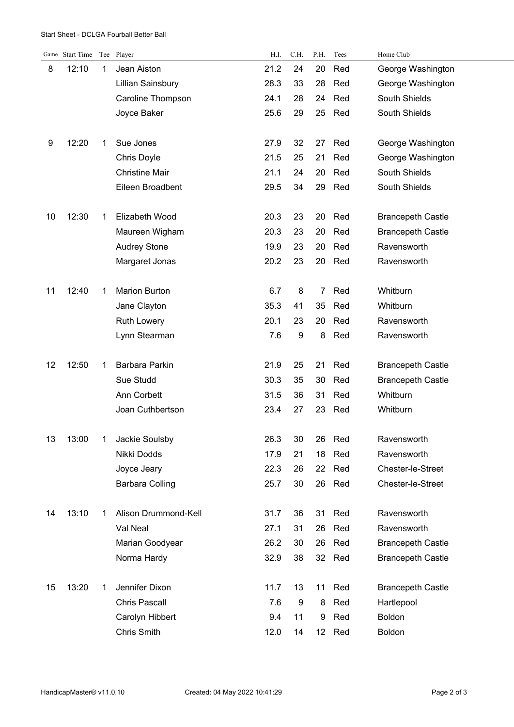#### Start Sheet - DCLGA Fourball Better Ball

|    | Game Start Time |   | Tee Player            | H.I. | C.H. | P.H.            | Tees | Home Club                |
|----|-----------------|---|-----------------------|------|------|-----------------|------|--------------------------|
| 8  | 12:10           | 1 | Jean Aiston           | 21.2 | 24   | 20              | Red  | George Washington        |
|    |                 |   | Lillian Sainsbury     | 28.3 | 33   | 28              | Red  | George Washington        |
|    |                 |   | Caroline Thompson     | 24.1 | 28   | 24              | Red  | South Shields            |
|    |                 |   | Joyce Baker           | 25.6 | 29   | 25              | Red  | South Shields            |
|    |                 |   |                       |      |      |                 |      |                          |
| 9  | 12:20           | 1 | Sue Jones             | 27.9 | 32   | 27              | Red  | George Washington        |
|    |                 |   | Chris Doyle           | 21.5 | 25   | 21              | Red  | George Washington        |
|    |                 |   | <b>Christine Mair</b> | 21.1 | 24   | 20              | Red  | South Shields            |
|    |                 |   | Eileen Broadbent      | 29.5 | 34   | 29              | Red  | South Shields            |
|    |                 |   |                       |      |      |                 |      |                          |
| 10 | 12:30           | 1 | Elizabeth Wood        | 20.3 | 23   | 20              | Red  | <b>Brancepeth Castle</b> |
|    |                 |   | Maureen Wigham        | 20.3 | 23   | 20              | Red  | <b>Brancepeth Castle</b> |
|    |                 |   | <b>Audrey Stone</b>   | 19.9 | 23   | 20              | Red  | Ravensworth              |
|    |                 |   | Margaret Jonas        | 20.2 | 23   | 20              | Red  | Ravensworth              |
|    |                 |   |                       |      |      |                 |      |                          |
| 11 | 12:40           | 1 | <b>Marion Burton</b>  | 6.7  | 8    | 7               | Red  | Whitburn                 |
|    |                 |   | Jane Clayton          | 35.3 | 41   | 35              | Red  | Whitburn                 |
|    |                 |   | <b>Ruth Lowery</b>    | 20.1 | 23   | 20              | Red  | Ravensworth              |
|    |                 |   | Lynn Stearman         | 7.6  | 9    | 8               | Red  | Ravensworth              |
|    |                 |   |                       |      |      |                 |      |                          |
| 12 | 12:50           | 1 | Barbara Parkin        | 21.9 | 25   | 21              | Red  | <b>Brancepeth Castle</b> |
|    |                 |   | Sue Studd             | 30.3 | 35   | 30              | Red  | <b>Brancepeth Castle</b> |
|    |                 |   | Ann Corbett           | 31.5 | 36   | 31              | Red  | Whitburn                 |
|    |                 |   | Joan Cuthbertson      | 23.4 | 27   | 23              | Red  | Whitburn                 |
|    |                 |   |                       |      |      |                 |      |                          |
| 13 | 13:00           | 1 | Jackie Soulsby        | 26.3 | 30   | 26              | Red  | Ravensworth              |
|    |                 |   | Nikki Dodds           | 17.9 | 21   | 18              | Red  | Ravensworth              |
|    |                 |   | Joyce Jeary           | 22.3 | 26   | 22              | Red  | Chester-le-Street        |
|    |                 |   | Barbara Colling       | 25.7 | 30   | 26              | Red  | Chester-le-Street        |
|    |                 |   |                       |      |      |                 |      |                          |
| 14 | 13:10           | 1 | Alison Drummond-Kell  | 31.7 | 36   | 31              | Red  | Ravensworth              |
|    |                 |   | Val Neal              | 27.1 | 31   | 26              | Red  | Ravensworth              |
|    |                 |   | Marian Goodyear       | 26.2 | 30   | 26              | Red  | <b>Brancepeth Castle</b> |
|    |                 |   | Norma Hardy           | 32.9 | 38   | 32              | Red  | <b>Brancepeth Castle</b> |
|    |                 |   |                       |      |      |                 |      |                          |
| 15 | 13:20           | 1 | Jennifer Dixon        | 11.7 | 13   | 11              | Red  | <b>Brancepeth Castle</b> |
|    |                 |   | <b>Chris Pascall</b>  | 7.6  | 9    | 8               | Red  | Hartlepool               |
|    |                 |   | Carolyn Hibbert       | 9.4  | 11   | 9               | Red  | Boldon                   |
|    |                 |   | Chris Smith           | 12.0 | 14   | 12 <sup>°</sup> | Red  | Boldon                   |